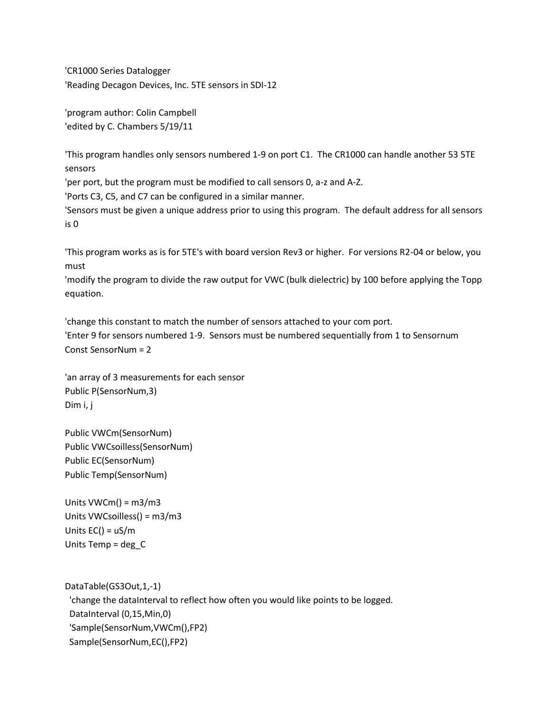'CR1000 Series Datalogger 'Reading Decagon Devices, Inc. 5TE sensors in SDI-12

'program author: Colin Campbell 'edited by C. Chambers 5/19/11

'This program handles only sensors numbered 1-9 on port C1. The CR1000 can handle another 53 5TE sensors

'per port, but the program must be modified to call sensors 0, a-z and A-Z.

'Ports C3, C5, and C7 can be configured in a similar manner.

'Sensors must be given a unique address prior to using this program. The default address for all sensors is 0

'This program works as is for 5TE's with board version Rev3 or higher. For versions R2-04 or below, you must

'modify the program to divide the raw output for VWC (bulk dielectric) by 100 before applying the Topp equation.

'change this constant to match the number of sensors attached to your com port. 'Enter 9 for sensors numbered 1-9. Sensors must be numbered sequentially from 1 to Sensornum Const SensorNum = 2

'an array of 3 measurements for each sensor Public P(SensorNum,3) Dim i, j

Public VWCm(SensorNum) Public VWCsoilless(SensorNum) Public EC(SensorNum) Public Temp(SensorNum)

Units VWCm() = m3/m3 Units VWCsoilless() = m3/m3 Units EC() = uS/m Units Temp = deg\_C

DataTable(GS3Out,1,-1) 'change the dataInterval to reflect how often you would like points to be logged. DataInterval (0,15,Min,0) 'Sample(SensorNum,VWCm(),FP2) Sample(SensorNum,EC(),FP2)